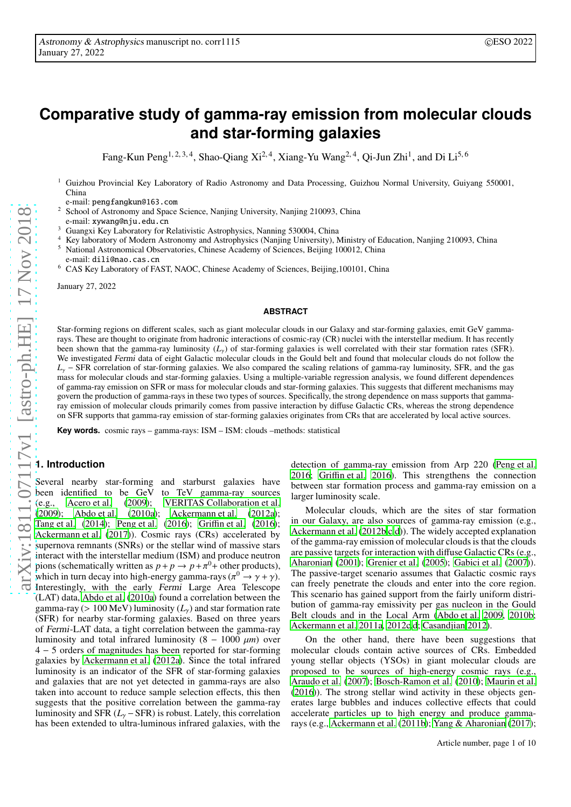# **Comparative study of gamma-ray emission from molecular clouds and star-forming galaxies**

Fang-Kun Peng<sup>1, 2, 3, 4</sup>, Shao-Qiang Xi<sup>2, 4</sup>, Xiang-Yu Wang<sup>2, 4</sup>, Qi-Jun Zhi<sup>1</sup>, and Di Li<sup>5, 6</sup>

<sup>1</sup> Guizhou Provincial Key Laboratory of Radio Astronomy and Data Processing, Guizhou Normal University, Guiyang 550001, China

e-mail: pengfangkun@163.com

<sup>2</sup> School of Astronomy and Space Science, Nanjing University, Nanjing 210093, China

e-mail: xywang@nju.edu.cn

- <sup>3</sup> Guangxi Key Laboratory for Relativistic Astrophysics, Nanning 530004, China
- <sup>4</sup> Key laboratory of Modern Astronomy and Astrophysics (Nanjing University), Ministry of Education, Nanjing 210093, China
- <sup>5</sup> National Astronomical Observatories, Chinese Academy of Sciences, Beijing 100012, China e-mail: dili@nao.cas.cn
- <sup>6</sup> CAS Key Laboratory of FAST, NAOC, Chinese Academy of Sciences, Beijing,100101, China

January 27, 2022

#### **ABSTRACT**

Star-forming regions on different scales, such as giant molecular clouds in our Galaxy and star-forming galaxies, emit GeV gammarays. These are thought to originate from hadronic interactions of cosmic-ray (CR) nuclei with the interstellar medium. It has recently been shown that the gamma-ray luminosity (*L*γ) of star-forming galaxies is well correlated with their star formation rates (SFR). We investigated Fermi data of eight Galactic molecular clouds in the Gould belt and found that molecular clouds do not follow the *L*<sub>γ</sub> − SFR correlation of star-forming galaxies. We also compared the scaling relations of gamma-ray luminosity, SFR, and the gas mass for molecular clouds and star-forming galaxies. Using a multiple-variable regression analysis, we found different dependences of gamma-ray emission on SFR or mass for molecular clouds and star-forming galaxies. This suggests that different mechanisms may govern the production of gamma-rays in these two types of sources. Specifically, the strong dependence on mass supports that gammaray emission of molecular clouds primarily comes from passive interaction by diffuse Galactic CRs, whereas the strong dependence on SFR supports that gamma-ray emission of star-forming galaxies originates from CRs that are accelerated by local active sources.

**Key words.** cosmic rays – gamma-rays: ISM – ISM: clouds –methods: statistical

## **1. Introduction**

Several nearby star-forming and starburst galaxies have been identified to be GeV to TeV gamma-ray sources (e.g., [Acero et al.](#page-4-0) [\(2009\)](#page-4-0); [VERITAS Collaboration et al.](#page-5-0) [\(2009](#page-5-0)); [Abdo et al.](#page-4-1) [\(2010a\)](#page-4-1); [Ackermann et al.](#page-4-2) [\(2012a\)](#page-4-2); [Tang et al.](#page-5-1) [\(2014\)](#page-5-1); [Peng et al. \(2016](#page-4-3)); Griffi[n et al. \(2016\)](#page-4-4); [Ackermann et al. \(2017](#page-4-5))). Cosmic rays (CRs) accelerated by supernova remnants (SNRs) or the stellar wind of massive stars interact with the interstellar medium (ISM) and produce neutron pions (schematically written as  $p + p \rightarrow p + \pi^0 +$  other products), which in turn decay into high-energy gamma-rays ( $\pi^0 \rightarrow \gamma + \gamma$ ).<br>Interestingly, with the early Fermi Large Area Telescope (LAT) data, [Abdo et al.](#page-4-1) [\(2010a\)](#page-4-1) found a correlation between the gamma-ray ( $> 100 \, \text{MeV}$ ) luminosity ( $L_{\gamma}$ ) and star formation rate (SFR) for nearby star-forming galaxies. Based on three years of Fermi-LAT data, a tight correlation between the gamma-ray luminosity and total infrared luminosity  $(8 - 1000 \mu m)$  over 4 − 5 orders of magnitudes has been reported for star-forming galaxies by [Ackermann et al.](#page-4-2) [\(2012a\)](#page-4-2). Since the total infrared luminosity is an indicator of the SFR of star-forming galaxies and galaxies that are not yet detected in gamma-rays are also taken into account to reduce sample selection effects, this then suggests that the positive correlation between the gamma-ray luminosity and SFR  $(L<sub>y</sub> - SFR)$  is robust. Lately, this correlation has been extended to ultra-luminous infrared galaxies, with the

detection of gamma-ray emission from Arp 220 [\(Peng et al.](#page-4-3) [2016;](#page-4-3) Griffi[n et al. 2016\)](#page-4-4). This strengthens the connection between star formation process and gamma-ray emission on a larger luminosity scale.

Molecular clouds, which are the sites of star formation in our Galaxy, are also sources of gamma-ray emission (e.g., [Ackermann et al. \(2012b](#page-4-6)[,c](#page-4-7)[,d\)](#page-4-8)). The widely accepted explanation of the gamma-ray emission of molecular clouds is that the clouds are passive targets for interaction with diffuse Galactic CRs (e.g., [Aharonian \(2001\)](#page-4-9); [Grenier et al. \(2005\)](#page-4-10); [Gabici et al. \(2007\)](#page-4-11)). The passive-target scenario assumes that Galactic cosmic rays can freely penetrate the clouds and enter into the core region. This scenario has gained support from the fairly uniform distribution of gamma-ray emissivity per gas nucleon in the Gould Belt clouds and in the Local Arm [\(Abdo et al. 2009,](#page-4-12) [2010b;](#page-4-13) [Ackermann et al. 2011a,](#page-4-14) [2012c](#page-4-7)[,d](#page-4-8); [Casandjian 2012](#page-4-15)).

On the other hand, there have been suggestions that molecular clouds contain active sources of CRs. Embedded young stellar objects (YSOs) in giant molecular clouds are proposed to be sources of high-energy cosmic rays (e.g., [Araudo et al. \(2007\)](#page-4-16); [Bosch-Ramon et al.](#page-4-17) [\(2010\)](#page-4-17); [Maurin et al.](#page-4-18) [\(2016\)](#page-4-18)). The strong stellar wind activity in these objects generates large bubbles and induces collective effects that could accelerate particles up to high energy and produce gammarays (e.g., [Ackermann et al. \(2011b\)](#page-4-19); [Yang & Aharonian \(2017\)](#page-5-2);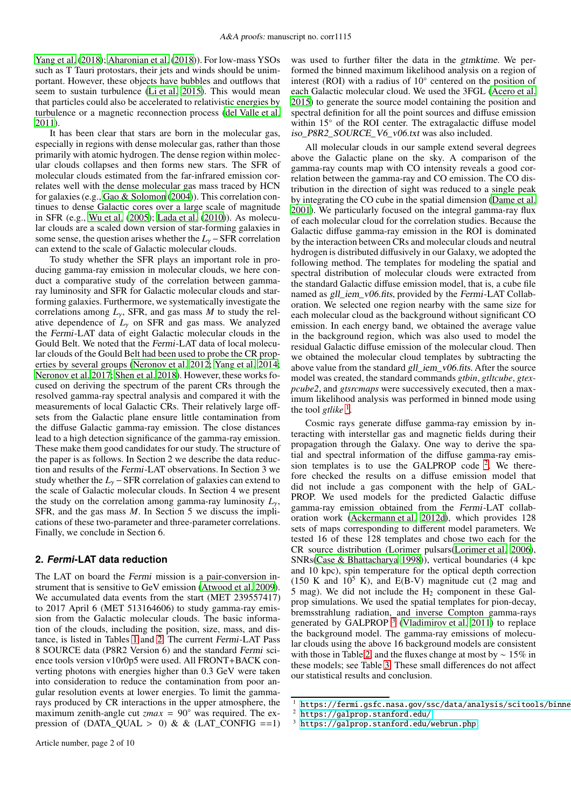[Yang et al.](#page-5-3) [\(2018\)](#page-5-3); [Aharonian et al.](#page-4-20) [\(2018\)](#page-4-20)). For low-mass YSOs such as T Tauri protostars, their jets and winds should be unimportant. However, these objects have bubbles and outflows that seem to sustain turbulence [\(Li et al. 2015\)](#page-4-21). This would mean that particles could also be accelerated to relativistic energies by turbulence or a magnetic reconnection process [\(del Valle et](#page-4-22) al. [2011\)](#page-4-22).

It has been clear that stars are born in the molecular gas, especially in regions with dense molecular gas, rather than those primarily with atomic hydrogen. The dense region within molecular clouds collapses and then forms new stars. The SFR of molecular clouds estimated from the far-infrared emission correlates well with the dense molecular gas mass traced by HCN for galaxies (e.g., [Gao & Solomon \(2004](#page-4-23))). This correlation continues to dense Galactic cores over a large scale of magnitude in SFR (e.g., [Wu et al. \(2005\)](#page-5-4); [Lada et al.](#page-4-24) [\(2010\)](#page-4-24)). As molecular clouds are a scaled down version of star-forming galaxies in some sense, the question arises whether the *L*<sub>γ</sub> − SFR correlation can extend to the scale of Galactic molecular clouds.

To study whether the SFR plays an important role in producing gamma-ray emission in molecular clouds, we here conduct a comparative study of the correlation between gammaray luminosity and SFR for Galactic molecular clouds and starforming galaxies. Furthermore, we systematically investigate the correlations among *L*γ, SFR, and gas mass *M* to study the relative dependence of  $L<sub>\gamma</sub>$  on SFR and gas mass. We analyzed the Fermi-LAT data of eight Galactic molecular clouds in the Gould Belt. We noted that the Fermi-LAT data of local molecular clouds of the Gould Belt had been used to probe the CR properties by several groups [\(Neronov et al. 2012](#page-4-25); [Yang et al. 2014](#page-5-5); [Neronov et al. 2017;](#page-4-26) [Shen et al. 2018\)](#page-4-27). However, these works focused on deriving the spectrum of the parent CRs through the resolved gamma-ray spectral analysis and compared it with the measurements of local Galactic CRs. Their relatively large offsets from the Galactic plane ensure little contamination from the diffuse Galactic gamma-ray emission. The close distances lead to a high detection significance of the gamma-ray emission. These make them good candidates for our study. The structure of the paper is as follows. In Section 2 we describe the data reduction and results of the Fermi-LAT observations. In Section 3 we study whether the  $L<sub>y</sub>$  − SFR correlation of galaxies can extend to the scale of Galactic molecular clouds. In Section 4 we present the study on the correlation among gamma-ray luminosity  $L<sub>y</sub>$ , SFR, and the gas mass *M*. In Section 5 we discuss the implications of these two-parameter and three-parameter correlations. Finally, we conclude in Section 6.

## **2. Fermi-LAT data reduction**

The LAT on board the Fermi mission is a pair-conversion instrument that is sensitive to GeV emission [\(Atwood et al. 2009](#page-4-28)). We accumulated data events from the start (MET 239557417) to 2017 April 6 (MET 513164606) to study gamma-ray emission from the Galactic molecular clouds. The basic information of the clouds, including the position, size, mass, and distance, is listed in Tables [1](#page-6-0) and [2.](#page-6-1) The current Fermi-LAT Pass 8 SOURCE data (P8R2 Version 6) and the standard Fermi science tools version v10r0p5 were used. All FRONT+BACK converting photons with energies higher than 0.3 GeV were taken into consideration to reduce the contamination from poor angular resolution events at lower energies. To limit the gammarays produced by CR interactions in the upper atmosphere, the maximum zenith-angle cut *zmax* = 90◦ was required. The expression of (DATA\_QUAL > 0) & & (LAT\_CONFIG ==1) was used to further filter the data in the gtmktime. We performed the binned maximum likelihood analysis on a region of interest (ROI) with a radius of 10◦ centered on the position of each Galactic molecular cloud. We used the 3FGL [\(Acero et al.](#page-4-29) [2015\)](#page-4-29) to generate the source model containing the position and spectral definition for all the point sources and diffuse emission within 15◦ of the ROI center. The extragalactic diffuse model iso\_P8R2\_SOURCE\_V6\_v06.txt was also included.

All molecular clouds in our sample extend several degrees above the Galactic plane on the sky. A comparison of the gamma-ray counts map with CO intensity reveals a good correlation between the gamma-ray and CO emission. The CO distribution in the direction of sight was reduced to a single peak by integrating the CO cube in the spatial dimension [\(Dame et al.](#page-4-30) [2001\)](#page-4-30). We particularly focused on the integral gamma-ray flux of each molecular cloud for the correlation studies. Because the Galactic diffuse gamma-ray emission in the ROI is dominated by the interaction between CRs and molecular clouds and neutral hydrogen is distributed diffusively in our Galaxy, we adopted the following method. The templates for modeling the spatial and spectral distribution of molecular clouds were extracted from the standard Galactic diffuse emission model, that is, a cube file named as gll\_iem\_v06.fits, provided by the Fermi-LAT Collaboration. We selected one region nearby with the same size for each molecular cloud as the background without significant CO emission. In each energy band, we obtained the average value in the background region, which was also used to model the residual Galactic diffuse emission of the molecular cloud. Then we obtained the molecular cloud templates by subtracting the above value from the standard gll\_iem\_v06.fits. After the source model was created, the standard commands *gtbin*, *gtltcube*, *gtexpcube2*, and *gtsrcmaps* were successively executed, then a maximum likelihood analysis was performed in binned mode using the tool *gtlike*  $\frac{1}{2}$  $\frac{1}{2}$  $\frac{1}{2}$ .

Cosmic rays generate diffuse gamma-ray emission by interacting with interstellar gas and magnetic fields during their propagation through the Galaxy. One way to derive the spatial and spectral information of the diffuse gamma-ray emission templates is to use the GALPROP code  $2$ . We therefore checked the results on a diffuse emission model that did not include a gas component with the help of GAL-PROP. We used models for the predicted Galactic diffuse gamma-ray emission obtained from the Fermi-LAT collaboration work [\(Ackermann et al. 2012d\)](#page-4-8), which provides 128 sets of maps corresponding to different model parameters. We tested 16 of these 128 templates and chose two each for the CR source distribution (Lorimer pulsars[\(Lorimer et al. 2006\)](#page-4-31), SNRs[\(Case & Bhattacharya 1998](#page-4-32))), vertical boundaries (4 kpc and 10 kpc), spin temperature for the optical depth correction (150 K and  $10^5$  K), and E(B-V) magnitude cut (2 mag and 5 mag). We did not include the  $H<sub>2</sub>$  component in these Galprop simulations. We used the spatial templates for pion-decay, bremsstrahlung radiation, and inverse Compton gamma-rays generated by GALPROP  $3$  [\(Vladimirov et al. 2011\)](#page-5-6) to replace the background model. The gamma-ray emissions of molecular clouds using the above 16 background models are consistent with those in Table [2,](#page-6-1) and the fluxes change at most by ∼ 15% in these models; see Table [3.](#page-6-2) These small differences do not affect our statistical results and conclusion.

https://fermi.gsfc.nasa.gov/ssc/data/analysis/scitools/binne

<span id="page-1-0"></span><https://galprop.stanford.edu/>

<span id="page-1-2"></span><span id="page-1-1"></span><sup>3</sup> <https://galprop.stanford.edu/webrun.php>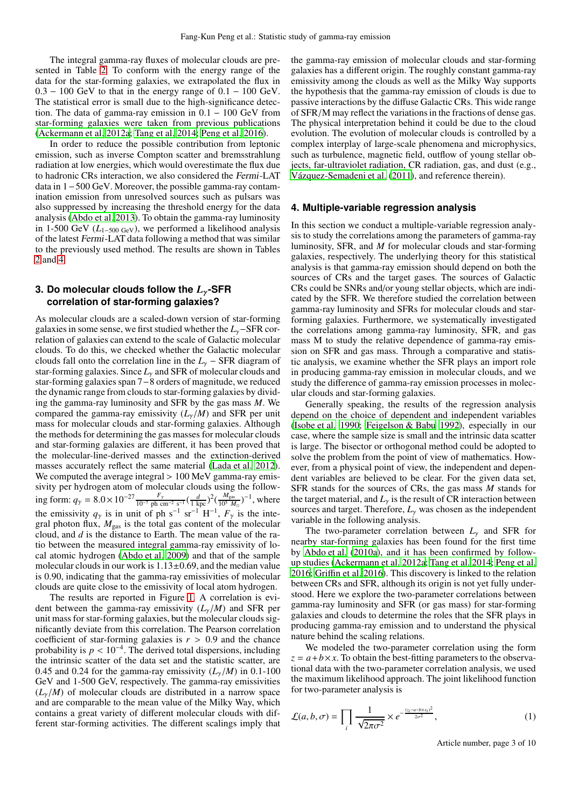The integral gamma-ray fluxes of molecular clouds are presented in Table [2.](#page-6-1) To conform with the energy range of the data for the star-forming galaxies, we extrapolated the flux in  $0.3 - 100$  GeV to that in the energy range of  $0.1 - 100$  GeV. The statistical error is small due to the high-significance detection. The data of gamma-ray emission in 0.1 − 100 GeV from star-forming galaxies were taken from previous publications [\(Ackermann et al. 2012a](#page-4-2); [Tang et al. 2014;](#page-5-1) [Peng et al. 2016\)](#page-4-3).

In order to reduce the possible contribution from leptonic emission, such as inverse Compton scatter and bremsstrahlung radiation at low energies, which would overestimate the flux due to hadronic CRs interaction, we also considered the Fermi-LAT data in 1−500 GeV. Moreover, the possible gamma-ray contamination emission from unresolved sources such as pulsars was also suppressed by increasing the threshold energy for the data analysis [\(Abdo et al. 2013\)](#page-4-33). To obtain the gamma-ray luminosity in 1-500 GeV ( $L_{1-500 \text{ GeV}}$ ), we performed a likelihood analysis of the latest Fermi-LAT data following a method that was similar to the previously used method. The results are shown in Tables [2](#page-6-1) and [4.](#page-7-0)

# **3. Do molecular clouds follow the** *L*γ**-SFR correlation of star-forming galaxies?**

As molecular clouds are a scaled-down version of star-forming galaxies in some sense, we first studied whether the *L*γ−SFR correlation of galaxies can extend to the scale of Galactic molecular clouds. To do this, we checked whether the Galactic molecular clouds fall onto the correlation line in the  $L<sub>y</sub>$  – SFR diagram of star-forming galaxies. Since  $L<sub>\gamma</sub>$  and SFR of molecular clouds and star-forming galaxies span 7−8 orders of magnitude, we reduced the dynamic range from clouds to star-forming galaxies by dividing the gamma-ray luminosity and SFR by the gas mass *M*. We compared the gamma-ray emissivity  $(L<sub>v</sub>/M)$  and SFR per unit mass for molecular clouds and star-forming galaxies. Although the methods for determining the gas masses for molecular clouds and star-forming galaxies are different, it has been proved that the molecular-line-derived masses and the extinction-derived masses accurately reflect the same material [\(Lada et al. 2012](#page-4-34)). We computed the average integral > 100 MeV gamma-ray emissivity per hydrogen atom of molecular clouds using the follow- $\frac{F_{\gamma}}{10^{-7} \text{ ph cm}^2 \text{ s}^{-1}} (\frac{d}{1 \text{ kpc}})^2 (\frac{M_{\text{gas}}}{10^5 M_{\text{gas}}}$  $\frac{M_{\rm gas}}{10^5 M_{\odot}}$ )<sup>-1</sup>, where the emissivity  $q_\gamma$  is in unit of ph s<sup>-1</sup> sr<sup>-1</sup> H<sup>-1</sup>,  $F_\gamma$  is the integral photon flux,  $M_{\text{gas}}$  is the total gas content of the molecular cloud, and *d* is the distance to Earth. The mean value of the ratio between the measured integral gamma-ray emissivity of local atomic hydrogen [\(Abdo et al. 2009\)](#page-4-12) and that of the sample molecular clouds in our work is  $1.13\pm0.69$ , and the median value is 0.90, indicating that the gamma-ray emissivities of molecular clouds are quite close to the emissivity of local atom hydrogen.

The results are reported in Figure [1.](#page-9-0) A correlation is evident between the gamma-ray emissivity  $(L_v/M)$  and SFR per unit mass for star-forming galaxies, but the molecular clouds significantly deviate from this correlation. The Pearson correlation coefficient of star-forming galaxies is  $r > 0.9$  and the chance probability is  $p < 10^{-4}$ . The derived total dispersions, including the intrinsic scatter of the data set and the statistic scatter, are 0.45 and 0.24 for the gamma-ray emissivity  $(L_v/M)$  in 0.1-100 GeV and 1-500 GeV, respectively. The gamma-ray emissivities  $(L<sub>\gamma</sub>/M)$  of molecular clouds are distributed in a narrow space and are comparable to the mean value of the Milky Way, which contains a great variety of different molecular clouds with different star-forming activities. The different scalings imply that

the gamma-ray emission of molecular clouds and star-forming galaxies has a different origin. The roughly constant gamma-ray emissivity among the clouds as well as the Milky Way supports the hypothesis that the gamma-ray emission of clouds is due to passive interactions by the diffuse Galactic CRs. This wide range of SFR/M may reflect the variations in the fractions of dense gas. The physical interpretation behind it could be due to the cloud evolution. The evolution of molecular clouds is controlled by a complex interplay of large-scale phenomena and microphysics, such as turbulence, magnetic field, outflow of young stellar objects, far-ultraviolet radiation, CR radiation, gas, and dust (e.g., [Vázquez-Semadeni et al. \(2011\)](#page-5-7), and reference therein).

# **4. Multiple-variable regression analysis**

In this section we conduct a multiple-variable regression analysis to study the correlations among the parameters of gamma-ray luminosity, SFR, and *M* for molecular clouds and star-forming galaxies, respectively. The underlying theory for this statistical analysis is that gamma-ray emission should depend on both the sources of CRs and the target gases. The sources of Galactic CRs could be SNRs and/or young stellar objects, which are indicated by the SFR. We therefore studied the correlation between gamma-ray luminosity and SFRs for molecular clouds and starforming galaxies. Furthermore, we systematically investigated the correlations among gamma-ray luminosity, SFR, and gas mass M to study the relative dependence of gamma-ray emission on SFR and gas mass. Through a comparative and statistic analysis, we examine whether the SFR plays an import role in producing gamma-ray emission in molecular clouds, and we study the difference of gamma-ray emission processes in molecular clouds and star-forming galaxies.

Generally speaking, the results of the regression analysis depend on the choice of dependent and independent variables [\(Isobe et al. 1990;](#page-4-35) [Feigelson & Babu 1992\)](#page-4-36), especially in our case, where the sample size is small and the intrinsic data scatter is large. The bisector or orthogonal method could be adopted to solve the problem from the point of view of mathematics. However, from a physical point of view, the independent and dependent variables are believed to be clear. For the given data set, SFR stands for the sources of CRs, the gas mass *M* stands for the target material, and  $L<sub>y</sub>$  is the result of CR interaction between sources and target. Therefore,  $L<sub>y</sub>$  was chosen as the independent variable in the following analysis.

The two-parameter correlation between  $L<sub>y</sub>$  and SFR for nearby star-forming galaxies has been found for the first time by [Abdo et al.](#page-4-1) [\(2010a](#page-4-1)), and it has been confirmed by followup studies [\(Ackermann et al. 2012a;](#page-4-2) [Tang et al. 2014;](#page-5-1) [Peng et al.](#page-4-3) [2016;](#page-4-3) Griffi[n et al. 2016\)](#page-4-4). This discovery is linked to the relation between CRs and SFR, although its origin is not yet fully understood. Here we explore the two-parameter correlations between gamma-ray luminosity and SFR (or gas mass) for star-forming galaxies and clouds to determine the roles that the SFR plays in producing gamma-ray emission and to understand the physical nature behind the scaling relations.

We modeled the two-parameter correlation using the form  $z = a + b \times x$ . To obtain the best-fitting parameters to the observational data with the two-parameter correlation analysis, we used the maximum likelihood approach. The joint likelihood function for two-parameter analysis is

$$
\mathcal{L}(a,b,\sigma) = \prod_{i} \frac{1}{\sqrt{2\pi\sigma^2}} \times e^{-\frac{(z_i - a - bx_i)^2}{2\sigma^2}},\tag{1}
$$

Article number, page 3 of 10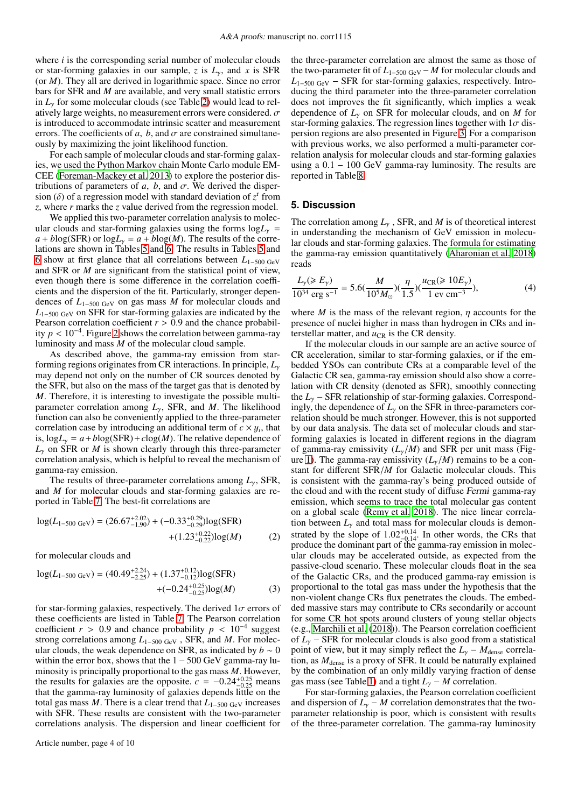where *i* is the corresponding serial number of molecular clouds or star-forming galaxies in our sample, *z* is *L*γ, and *x* is SFR (or *M*). They all are derived in logarithmic space. Since no error bars for SFR and *M* are available, and very small statistic errors in  $L<sub>y</sub>$  for some molecular clouds (see Table [2\)](#page-6-1) would lead to relatively large weights, no measurement errors were considered.  $\sigma$ is introduced to accommodate intrinsic scatter and measurement errors. The coefficients of *a*, *b*, and  $\sigma$  are constrained simultaneously by maximizing the joint likelihood function.

For each sample of molecular clouds and star-forming galaxies, we used the Python Markov chain Monte Carlo module EM-CEE [\(Foreman-Mackey et al. 2013](#page-4-37)) to explore the posterior distributions of parameters of  $a$ ,  $b$ , and  $\sigma$ . We derived the dispersion ( $\delta$ ) of a regression model with standard deviation of  $z^r$  from *z*, where *r* marks the *z* value derived from the regression model.

We applied this two-parameter correlation analysis to molecular clouds and star-forming galaxies using the forms  $log L<sub>v</sub>$  =  $a + b \log(SFR)$  or  $\log L_v = a + b \log(M)$ . The results of the correlations are shown in Tables [5](#page-7-1) and [6.](#page-7-2) The results in Tables [5](#page-7-1) and [6](#page-7-2) show at first glance that all correlations between *L*1−500 GeV and SFR or *M* are significant from the statistical point of view, even though there is some difference in the correlation coefficients and the dispersion of the fit. Particularly, stronger dependences of *L*1−500 GeV on gas mass *M* for molecular clouds and *L*1−500 GeV on SFR for star-forming galaxies are indicated by the Pearson correlation coefficient  $r > 0.9$  and the chance probability *p* < 10−<sup>4</sup> . Figure [2](#page-9-1) shows the correlation between gamma-ray luminosity and mass *M* of the molecular cloud sample.

As described above, the gamma-ray emission from starforming regions originates from CR interactions. In principle, *L*<sup>γ</sup> may depend not only on the number of CR sources denoted by the SFR, but also on the mass of the target gas that is denoted by *M*. Therefore, it is interesting to investigate the possible multiparameter correlation among *L*γ, SFR, and *M*. The likelihood function can also be conveniently applied to the three-parameter correlation case by introducing an additional term of  $c \times y_i$ , that is,  $logL<sub>y</sub> = a + blog(SFR) + clog(M)$ . The relative dependence of  $L<sub>y</sub>$  on SFR or *M* is shown clearly through this three-parameter correlation analysis, which is helpful to reveal the mechanism of gamma-ray emission.

The results of three-parameter correlations among *L*γ, SFR, and *M* for molecular clouds and star-forming galaxies are reported in Table [7.](#page-7-3) The best-fit correlations are

$$
log(L_{1-500 \text{ GeV}}) = (26.67^{+2.02}_{-1.90}) + (-0.33^{+0.29}_{-0.29})log(SFR)
$$
  
 
$$
+ (1.23^{+0.22}_{-0.22})log(M)
$$
 (2)

for molecular clouds and

$$
log(L_{1-500 \text{ GeV}}) = (40.49^{+2.24}_{-2.25}) + (1.37^{+0.12}_{-0.12})log(SFR)
$$
  
+(-0.24<sup>+0.25</sup><sub>-0.25</sub>)log(M) (3)

for star-forming galaxies, respectively. The derived  $1\sigma$  errors of these coefficients are listed in Table [7.](#page-7-3) The Pearson correlation coefficient  $r > 0.9$  and chance probability  $p < 10^{-4}$  suggest strong correlations among *L*1−500 GeV , SFR, and *M*. For molecular clouds, the weak dependence on SFR, as indicated by  $b \sim 0$ within the error box, shows that the  $1 - 500$  GeV gamma-ray luminosity is principally proportional to the gas mass *M*. However, the results for galaxies are the opposite.  $c = -0.24^{+0.25}_{-0.25}$  means<br>that the samma gay luminosity of galaxies danged little on the that the gamma-ray luminosity of galaxies depends little on the total gas mass *M*. There is a clear trend that  $L_{1-500 \text{ GeV}}$  increases with SFR. These results are consistent with the two-parameter correlations analysis. The dispersion and linear coefficient for the three-parameter correlation are almost the same as those of the two-parameter fit of  $L_{1-500 \text{ GeV}} - M$  for molecular clouds and *L*1−500 GeV − SFR for star-forming galaxies, respectively. Introducing the third parameter into the three-parameter correlation does not improves the fit significantly, which implies a weak dependence of *L*<sup>γ</sup> on SFR for molecular clouds, and on *M* for star-forming galaxies. The regression lines together with  $1\sigma$  dispersion regions are also presented in Figure [3.](#page-9-2) For a comparison with previous works, we also performed a multi-parameter correlation analysis for molecular clouds and star-forming galaxies using a  $0.1 - 100 \text{ GeV}$  gamma-ray luminosity. The results are reported in Table [8](#page-8-0)

## **5. Discussion**

The correlation among  $L<sub>y</sub>$ , SFR, and *M* is of theoretical interest in understanding the mechanism of GeV emission in molecular clouds and star-forming galaxies. The formula for estimating the gamma-ray emission quantitatively [\(Aharonian et al. 2018](#page-4-20)) reads

$$
\frac{L_{\gamma}(\geqslant E_{\gamma})}{10^{34} \text{ erg s}^{-1}} = 5.6(\frac{M}{10^5 M_{\odot}})(\frac{\eta}{1.5})(\frac{u_{\text{CR}}(\geqslant 10 E_{\gamma})}{1 \text{ ev cm}^{-3}}),\tag{4}
$$

where *M* is the mass of the relevant region,  $\eta$  accounts for the presence of nuclei higher in mass than hydrogen in CRs and interstellar matter, and  $u_{CR}$  is the CR density.

If the molecular clouds in our sample are an active source of CR acceleration, similar to star-forming galaxies, or if the embedded YSOs can contribute CRs at a comparable level of the Galactic CR sea, gamma-ray emission should also show a correlation with CR density (denoted as SFR), smoothly connecting the *L*<sup>γ</sup> − SFR relationship of star-forming galaxies. Correspondingly, the dependence of  $L<sub>\gamma</sub>$  on the SFR in three-parameters correlation should be much stronger. However, this is not supported by our data analysis. The data set of molecular clouds and starforming galaxies is located in different regions in the diagram of gamma-ray emissivity  $(L_v/M)$  and SFR per unit mass (Fig-ure [1\)](#page-9-0). The gamma-ray emissivity  $(L_v/M)$  remains to be a constant for different SFR/*M* for Galactic molecular clouds. This is consistent with the gamma-ray's being produced outside of the cloud and with the recent study of diffuse Fermi gamma-ray emission, which seems to trace the total molecular gas content on a global scale [\(Remy et al. 2018](#page-4-38)). The nice linear correlation between  $L<sub>\gamma</sub>$  and total mass for molecular clouds is demonstrated by the slope of  $1.02^{+0.14}_{-0.14}$ . In other words, the CRs that produce the dominant part of the gamma-ray emission in molecular clouds may be accelerated outside, as expected from the passive-cloud scenario. These molecular clouds float in the sea of the Galactic CRs, and the produced gamma-ray emission is proportional to the total gas mass under the hypothesis that the non-violent change CRs flux penetrates the clouds. The embedded massive stars may contribute to CRs secondarily or account for some CR hot spots around clusters of young stellar objects (e.g., [Marchili et al. \(2018\)](#page-4-39)). The Pearson correlation coefficient of *L*<sup>γ</sup> − SFR for molecular clouds is also good from a statistical point of view, but it may simply reflect the  $L_{\gamma}$  –  $M_{\text{dense}}$  correlation, as  $M_{dense}$  is a proxy of SFR. It could be naturally explained by the combination of an only mildly varying fraction of dense gas mass (see Table [1\)](#page-6-0) and a tight  $L<sub>γ</sub> - M$  correlation.

For star-forming galaxies, the Pearson correlation coefficient and dispersion of  $L<sub>y</sub> - M$  correlation demonstrates that the twoparameter relationship is poor, which is consistent with results of the three-parameter correlation. The gamma-ray luminosity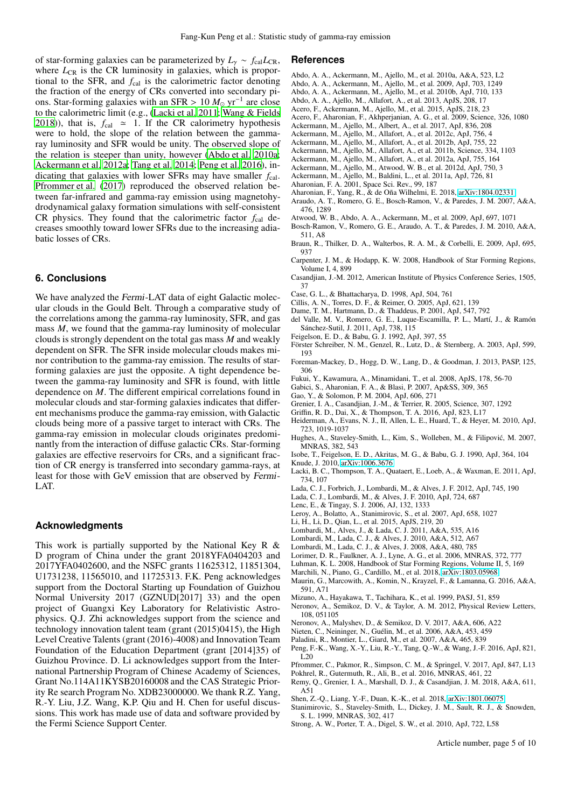of star-forming galaxies can be parameterized by  $L_y \sim f_{\text{cal}} L_{\text{CR}}$ , where  $L_{CR}$  is the CR luminosity in galaxies, which is proportional to the SFR, and  $f_{cal}$  is the calorimetric factor denoting the fraction of the energy of CRs converted into secondary pions. Star-forming galaxies with an SFR >  $10 M_{\odot}$  yr<sup>-1</sup> are close to the calorimetric limit (e.g., [\(Lacki et al. 2011;](#page-4-40) [Wang & Fields](#page-5-8) [2018\)](#page-5-8)), that is,  $f_{\text{cal}} \approx 1$ . If the CR calorimetry hypothesis were to hold, the slope of the relation between the gammaray luminosity and SFR would be unity. The observed slope of the relation is steeper than unity, however [\(Abdo et al. 2010a](#page-4-1); [Ackermann et al. 2012a](#page-4-2); [Tang et al. 2014](#page-5-1); [Peng et al. 2016\)](#page-4-3), indicating that galaxies with lower SFRs may have smaller  $f_{\text{cal}}$ . [Pfrommer et al.](#page-4-41) [\(2017\)](#page-4-41) reproduced the observed relation between far-infrared and gamma-ray emission using magnetohydrodynamical galaxy formation simulations with self-consistent CR physics. They found that the calorimetric factor  $f_{\text{cal}}$  decreases smoothly toward lower SFRs due to the increasing adiabatic losses of CRs.

#### **6. Conclusions**

We have analyzed the Fermi-LAT data of eight Galactic molecular clouds in the Gould Belt. Through a comparative study of the correlations among the gamma-ray luminosity, SFR, and gas mass *M*, we found that the gamma-ray luminosity of molecular clouds is strongly dependent on the total gas mass *M* and weakly dependent on SFR. The SFR inside molecular clouds makes minor contribution to the gamma-ray emission. The results of starforming galaxies are just the opposite. A tight dependence between the gamma-ray luminosity and SFR is found, with little dependence on *M*. The different empirical correlations found in molecular clouds and star-forming galaxies indicates that different mechanisms produce the gamma-ray emission, with Galactic clouds being more of a passive target to interact with CRs. The gamma-ray emission in molecular clouds originates predominantly from the interaction of diffuse galactic CRs. Star-forming galaxies are effective reservoirs for CRs, and a significant fraction of CR energy is transferred into secondary gamma-rays, at least for those with GeV emission that are observed by Fermi-LAT.

#### **Acknowledgments**

This work is partially supported by the National Key R & D program of China under the grant 2018YFA0404203 and 2017YFA0402600, and the NSFC grants 11625312, 11851304, U1731238, 11565010, and 11725313. F.K. Peng acknowledges support from the Doctoral Starting up Foundation of Guizhou Normal University 2017 (GZNUD[2017] 33) and the open project of Guangxi Key Laboratory for Relativistic Astrophysics. Q.J. Zhi acknowledges support from the science and technology innovation talent team (grant (2015)0415), the High Level Creative Talents (grant (2016)-4008) and Innovation Team Foundation of the Education Department (grant [2014]35) of Guizhou Province. D. Li acknowledges support from the International Partnership Program of Chinese Academy of Sciences, Grant No.114A11KYSB20160008 and the CAS Strategic Priority Re search Program No. XDB23000000. We thank R.Z. Yang, R.-Y. Liu, J.Z. Wang, K.P. Qiu and H. Chen for useful discussions. This work has made use of data and software provided by the Fermi Science Support Center.

#### **References**

- <span id="page-4-1"></span>Abdo, A. A., Ackermann, M., Ajello, M., et al. 2010a, A&A, 523, L2
- <span id="page-4-12"></span>Abdo, A. A., Ackermann, M., Ajello, M., et al. 2009, ApJ, 703, 1249
- <span id="page-4-13"></span>Abdo, A. A., Ackermann, M., Ajello, M., et al. 2010b, ApJ, 710, 133
- <span id="page-4-33"></span>Abdo, A. A., Ajello, M., Allafort, A., et al. 2013, ApJS, 208, 17
- <span id="page-4-29"></span>Acero, F., Ackermann, M., Ajello, M., et al. 2015, ApJS, 218, 23
- <span id="page-4-0"></span>Acero, F., Aharonian, F., Akhperjanian, A. G., et al. 2009, Science, 326, 1080
- <span id="page-4-5"></span>Ackermann, M., Ajello, M., Albert, A., et al. 2017, ApJ, 836, 208
- <span id="page-4-7"></span>Ackermann, M., Ajello, M., Allafort, A., et al. 2012c, ApJ, 756, 4 Ackermann, M., Ajello, M., Allafort, A., et al. 2012b, ApJ, 755, 22
- <span id="page-4-19"></span><span id="page-4-6"></span>Ackermann, M., Ajello, M., Allafort, A., et al. 2011b, Science, 334, 1103
- <span id="page-4-2"></span>Ackermann, M., Ajello, M., Allafort, A., et al. 2012a, ApJ, 755, 164
- <span id="page-4-8"></span>Ackermann, M., Ajello, M., Atwood, W. B., et al. 2012d, ApJ, 750, 3
- <span id="page-4-14"></span>Ackermann, M., Ajello, M., Baldini, L., et al. 2011a, ApJ, 726, 81
- <span id="page-4-9"></span>Aharonian, F. A. 2001, Space Sci. Rev., 99, 187
- <span id="page-4-20"></span>Aharonian, F., Yang, R., & de Oña Wilhelmi, E. 2018, [arXiv:1804.02331](http://arxiv.org/abs/1804.02331)
- <span id="page-4-16"></span>Araudo, A. T., Romero, G. E., Bosch-Ramon, V., & Paredes, J. M. 2007, A&A,
- 476, 1289
- <span id="page-4-28"></span>Atwood, W. B., Abdo, A. A., Ackermann, M., et al. 2009, ApJ, 697, 1071
- <span id="page-4-17"></span>Bosch-Ramon, V., Romero, G. E., Araudo, A. T., & Paredes, J. M. 2010, A&A, 511, A8
- <span id="page-4-57"></span>Braun, R., Thilker, D. A., Walterbos, R. A. M., & Corbelli, E. 2009, ApJ, 695, 937
- <span id="page-4-49"></span>Carpenter, J. M., & Hodapp, K. W. 2008, Handbook of Star Forming Regions, Volume I, 4, 899
- <span id="page-4-15"></span>Casandjian, J.-M. 2012, American Institute of Physics Conference Series, 1505, 37
- <span id="page-4-32"></span>Case, G. L., & Bhattacharya, D. 1998, ApJ, 504, 761
- <span id="page-4-61"></span>Cillis, A. N., Torres, D. F., & Reimer, O. 2005, ApJ, 621, 139
- <span id="page-4-30"></span>Dame, T. M., Hartmann, D., & Thaddeus, P. 2001, ApJ, 547, 792
- <span id="page-4-22"></span>del Valle, M. V., Romero, G. E., Luque-Escamilla, P. L., Martí, J., & Ramón Sánchez-Sutil, J. 2011, ApJ, 738, 115
- <span id="page-4-36"></span>Feigelson, E. D., & Babu, G. J. 1992, ApJ, 397, 55
- <span id="page-4-60"></span>Förster Schreiber, N. M., Genzel, R., Lutz, D., & Sternberg, A. 2003, ApJ, 599, 193
- <span id="page-4-37"></span>Foreman-Mackey, D., Hogg, D. W., Lang, D., & Goodman, J. 2013, PASP, 125, 306
- <span id="page-4-54"></span>Fukui, Y., Kawamura, A., Minamidani, T., et al. 2008, ApJS, 178, 56-70
- <span id="page-4-11"></span>Gabici, S., Aharonian, F. A., & Blasi, P. 2007, Ap&SS, 309, 365
- <span id="page-4-23"></span>Gao, Y., & Solomon, P. M. 2004, ApJ, 606, 271
- <span id="page-4-10"></span>Grenier, I. A., Casandjian, J.-M., & Terrier, R. 2005, Science, 307, 1292
- <span id="page-4-4"></span>Griffin, R. D., Dai, X., & Thompson, T. A. 2016, ApJ, 823, L17
- <span id="page-4-48"></span>Heiderman, A., Evans, N. J., II, Allen, L. E., Huard, T., & Heyer, M. 2010, ApJ, 723, 1019-1037
- <span id="page-4-53"></span>Hughes, A., Staveley-Smith, L., Kim, S., Wolleben, M., & Filipović, M. 2007, MNRAS, 382, 543

<span id="page-4-35"></span>Isobe, T., Feigelson, E. D., Akritas, M. G., & Babu, G. J. 1990, ApJ, 364, 104 Knude, J. 2010, [arXiv:1006.3676](http://arxiv.org/abs/1006.3676)

- <span id="page-4-42"></span><span id="page-4-40"></span>Lacki, B. C., Thompson, T. A., Quataert, E., Loeb, A., & Waxman, E. 2011, ApJ, 734, 107
- <span id="page-4-34"></span>Lada, C. J., Forbrich, J., Lombardi, M., & Alves, J. F. 2012, ApJ, 745, 190
- <span id="page-4-24"></span>Lada, C. J., Lombardi, M., & Alves, J. F. 2010, ApJ, 724, 687
- <span id="page-4-59"></span>Lenc, E., & Tingay, S. J. 2006, AJ, 132, 1333
- <span id="page-4-56"></span>Leroy, A., Bolatto, A., Stanimirovic, S., et al. 2007, ApJ, 658, 1027
- <span id="page-4-21"></span>Li, H., Li, D., Qian, L., et al. 2015, ApJS, 219, 20
- <span id="page-4-45"></span>Lombardi, M., Alves, J., & Lada, C. J. 2011, A&A, 535, A16
- Lombardi, M., Lada, C. J., & Alves, J. 2010, A&A, 512, A67
- <span id="page-4-44"></span>
- <span id="page-4-43"></span>Lombardi, M., Lada, C. J., & Alves, J. 2008, A&A, 480, 785
- <span id="page-4-31"></span>Lorimer, D. R., Faulkner, A. J., Lyne, A. G., et al. 2006, MNRAS, 372, 777
- <span id="page-4-46"></span>Luhman, K. L. 2008, Handbook of Star Forming Regions, Volume II, 5, 169
- <span id="page-4-39"></span>Marchili, N., Piano, G., Cardillo, M., et al. 2018, [arXiv:1803.05968](http://arxiv.org/abs/1803.05968)
- <span id="page-4-18"></span>Maurin, G., Marcowith, A., Komin, N., Krayzel, F., & Lamanna, G. 2016, A&A, 591, A71
- <span id="page-4-47"></span>Mizuno, A., Hayakawa, T., Tachihara, K., et al. 1999, PASJ, 51, 859
- <span id="page-4-25"></span>Neronov, A., Semikoz, D. V., & Taylor, A. M. 2012, Physical Review Letters, 108, 051105
- <span id="page-4-26"></span>Neronov, A., Malyshev, D., & Semikoz, D. V. 2017, A&A, 606, A22
- <span id="page-4-58"></span>Nieten, C., Neininger, N., Guélin, M., et al. 2006, A&A, 453, 459
- <span id="page-4-52"></span>Paladini, R., Montier, L., Giard, M., et al. 2007, A&A, 465, 839
- <span id="page-4-3"></span>Peng, F.-K., Wang, X.-Y., Liu, R.-Y., Tang, Q.-W., & Wang, J.-F. 2016, ApJ, 821, L20
- <span id="page-4-41"></span>Pfrommer, C., Pakmor, R., Simpson, C. M., & Springel, V. 2017, ApJ, 847, L13
- <span id="page-4-50"></span>Pokhrel, R., Gutermuth, R., Ali, B., et al. 2016, MNRAS, 461, 22
- <span id="page-4-38"></span>Remy, Q., Grenier, I. A., Marshall, D. J., & Casandjian, J. M. 2018, A&A, 611, A51
- <span id="page-4-27"></span>Shen, Z.-Q., Liang, Y.-F., Duan, K.-K., et al. 2018, [arXiv:1801.06075](http://arxiv.org/abs/1801.06075)
- <span id="page-4-55"></span>Stanimirovic, S., Staveley-Smith, L., Dickey, J. M., Sault, R. J., & Snowden, S. L. 1999, MNRAS, 302, 417
- <span id="page-4-51"></span>Strong, A. W., Porter, T. A., Digel, S. W., et al. 2010, ApJ, 722, L58

Article number, page 5 of 10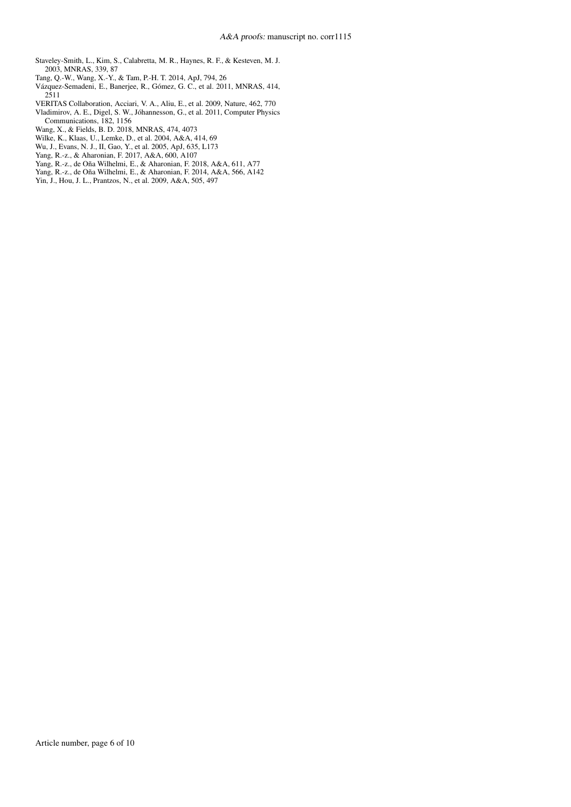<span id="page-5-10"></span>Staveley-Smith, L., Kim, S., Calabretta, M. R., Haynes, R. F., & Kesteven, M. J. 2003, MNRAS, 339, 87

- <span id="page-5-1"></span>Tang, Q.-W., Wang, X.-Y., & Tam, P.-H. T. 2014, ApJ, 794, 26
- <span id="page-5-7"></span>Vázquez-Semadeni, E., Banerjee, R., Gómez, G. C., et al. 2011, MNRAS, 414, 2511
- <span id="page-5-0"></span>VERITAS Collaboration, Acciari, V. A., Aliu, E., et al. 2009, Nature, 462, 770
- <span id="page-5-6"></span>Vladimirov, A. E., Digel, S. W., Jóhannesson, G., et al. 2011, Computer Physics Communications, 182, 1156
- <span id="page-5-8"></span>Wang, X., & Fields, B. D. 2018, MNRAS, 474, 4073
- <span id="page-5-11"></span>Wilke, K., Klaas, U., Lemke, D., et al. 2004, A&A, 414, 69
- <span id="page-5-4"></span>Wu, J., Evans, N. J., II, Gao, Y., et al. 2005, ApJ, 635, L173
- <span id="page-5-2"></span>Yang, R.-z., & Aharonian, F. 2017, A&A, 600, A107
- <span id="page-5-3"></span>Yang, R.-z., de Oña Wilhelmi, E., & Aharonian, F. 2018, A&A, 611, A77
- <span id="page-5-5"></span>Yang, R.-z., de Oña Wilhelmi, E., & Aharonian, F. 2014, A&A, 566, A142
- <span id="page-5-9"></span>Yin, J., Hou, J. L., Prantzos, N., et al. 2009, A&A, 505, 497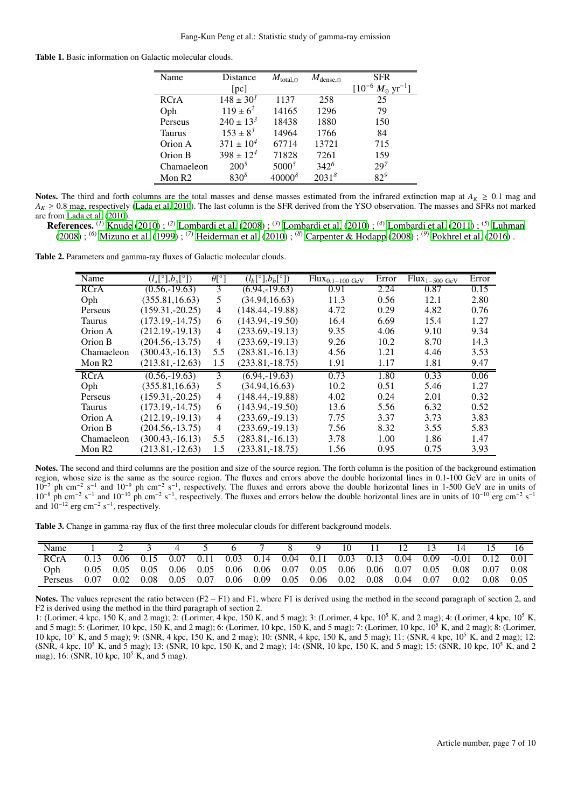<span id="page-6-0"></span>Table 1. Basic information on Galactic molecular clouds.

| $\overline{\text{Name}}$ | Distance         | $M_{\rm total,\odot}$ | $M_{\rm dense,\odot}$ | <b>SFR</b>                            |
|--------------------------|------------------|-----------------------|-----------------------|---------------------------------------|
|                          | pc               |                       |                       | $[10^{-6} M_{\odot} \text{ yr}^{-1}]$ |
| <b>RCrA</b>              | $148 \pm 30^{1}$ | 1137                  | 258                   | 25                                    |
| Oph                      | $119 \pm 6^2$    | 14165                 | 1296                  | 79                                    |
| Perseus                  | $240 \pm 13^3$   | 18438                 | 1880                  | 150                                   |
| Taurus                   | $153 \pm 8^3$    | 14964                 | 1766                  | 84                                    |
| Orion A                  | $371 \pm 10^4$   | 67714                 | 13721                 | 715                                   |
| Orion B                  | $398 \pm 12^4$   | 71828                 | 7261                  | 159                                   |
| Chamaeleon               | $200^5$          | $5000^5$              | $342^{6}$             | $29^{7}$                              |
| Mon $R2$                 | $830^{8}$        | $40000^{8}$           | 2031 <sup>8</sup>     | $82^{9}$                              |

Notes. The third and forth columns are the total masses and dense masses estimated from the infrared extinction map at  $A_K \geq 0.1$  mag and  $A_K \geq 0.8$  mag, respectively [\(Lada et al. 2010\)](#page-4-24). The last column is the SFR derived from the YSO observation. The masses and SFRs not marked are from [Lada et al.](#page-4-24) [\(2010](#page-4-24)).

References. (*1*) [Knude](#page-4-42) [\(2010\)](#page-4-42) ; (*2*) [Lombardi et al.](#page-4-43) [\(2008\)](#page-4-43) ; (*3*) [Lombardi et al. \(2010\)](#page-4-44) ; (*4*) [Lombardi et al. \(2011\)](#page-4-45) ; (*5*) [Luhman](#page-4-46) [\(2008\)](#page-4-46) ; (*6*) [Mizuno et al. \(1999\)](#page-4-47) ; (*7*) [Heiderman et al. \(2010\)](#page-4-48) ; (*8*) [Carpenter & Hodapp \(2008\)](#page-4-49) ; (*9*) [Pokhrel et al.](#page-4-50) [\(2016\)](#page-4-50) .

Table 2. Parameters and gamma-ray fluxes of Galactic molecular clouds.

<span id="page-6-1"></span>

| Name               | $(l_s[^{\circ}],b_s[^{\circ}])$ | $\theta$ <sup>[°</sup> ] | $(l_b[^{\circ}],b_b[^{\circ}])$ | $Flux0.1-100 GeV$ | Error | $\overline{Flux}_{1-500~\mathrm{GeV}}$ | Error |
|--------------------|---------------------------------|--------------------------|---------------------------------|-------------------|-------|----------------------------------------|-------|
| <b>RCrA</b>        | $(0.56,-19.63)$                 | 3                        | $(6.94, -19.63)$                | 0.91              | 2.24  | 0.87                                   | 0.15  |
| Oph                | (355.81, 16.63)                 | 5                        | (34.94, 16.63)                  | 11.3              | 0.56  | 12.1                                   | 2.80  |
| Perseus            | $(159.31,-20.25)$               | 4                        | $(148.44,-19.88)$               | 4.72              | 0.29  | 4.82                                   | 0.76  |
| Taurus             | $(173.19,-14.75)$               | 6                        | $(143.94,-19.50)$               | 16.4              | 6.69  | 15.4                                   | 1.27  |
| Orion A            | $(212.19,-19.13)$               | 4                        | $(233.69,-19.13)$               | 9.35              | 4.06  | 9.10                                   | 9.34  |
| Orion B            | $(204.56,-13.75)$               | 4                        | $(233.69,-19.13)$               | 9.26              | 10.2  | 8.70                                   | 14.3  |
| Chamaeleon         | $(300.43,-16.13)$               | 5.5                      | $(283.81,-16.13)$               | 4.56              | 1.21  | 4.46                                   | 3.53  |
| Mon R <sub>2</sub> | $(213.81,-12.63)$               | 1.5                      | $(233.81,-18.75)$               | 1.91              | 1.17  | 1.81                                   | 9.47  |
| RCrA               | $(0.56,-19.63)$                 | 3                        | $(6.94, -19.63)$                | 0.73              | 1.80  | 0.33                                   | 0.06  |
| Oph                | (355.81, 16.63)                 | 5                        | (34.94, 16.63)                  | 10.2              | 0.51  | 5.46                                   | 1.27  |
| Perseus            | $(159.31,-20.25)$               | 4                        | $(148.44,-19.88)$               | 4.02              | 0.24  | 2.01                                   | 0.32  |
| Taurus             | $(173.19,-14.75)$               | 6                        | $(143.94,-19.50)$               | 13.6              | 5.56  | 6.32                                   | 0.52  |
| Orion A            | $(212.19,-19.13)$               | 4                        | $(233.69,-19.13)$               | 7.75              | 3.37  | 3.73                                   | 3.83  |
| Orion B            | $(204.56,-13.75)$               | 4                        | $(233.69,-19.13)$               | 7.56              | 8.32  | 3.55                                   | 5.83  |
| Chamaeleon         | $(300.43,-16.13)$               | 5.5                      | $(283.81,-16.13)$               | 3.78              | 1.00  | 1.86                                   | 1.47  |
| Mon R <sub>2</sub> | $(213.81,-12.63)$               | 1.5                      | $(233.81,-18.75)$               | 1.56              | 0.95  | 0.75                                   | 3.93  |

Notes. The second and third columns are the position and size of the source region. The forth column is the position of the background estimation region, whose size is the same as the source region. The fluxes and errors above the double horizontal lines in 0.1-100 GeV are in units of  $10^{-7}$  ph cm<sup>-2</sup> s<sup>-1</sup> and  $10^{-9}$  ph cm<sup>-2</sup> s<sup>-1</sup>, respectively. The fluxes and errors above the double horizontal lines in 1-500 GeV are in units of  $10^{-8}$  ph cm<sup>-2</sup> s<sup>-1</sup> and  $10^{-10}$  ph cm<sup>-2</sup> s<sup>-1</sup>, respectively. The fluxes and errors below the double horizontal lines are in units of  $10^{-10}$  erg cm<sup>-2</sup> s<sup>-1</sup> and  $10^{-12}$  erg cm<sup>-2</sup> s<sup>-1</sup>, respectively.

Table 3. Change in gamma-ray flux of the first three molecular clouds for different background models.

<span id="page-6-2"></span>

| Name       |      |      |                                                             |      |      |                                    |  | 10. | 11.                                | 12. | 13   |                       |      |       |
|------------|------|------|-------------------------------------------------------------|------|------|------------------------------------|--|-----|------------------------------------|-----|------|-----------------------|------|-------|
| RCrA       |      |      | 0.06 0.15 0.07 0.11 0.03 0.14 0.04 0.11 0.03 0.13 0.04 0.09 |      |      |                                    |  |     |                                    |     |      | $-0.01$ $0.12$ $0.01$ |      |       |
| <b>Oph</b> | 0.05 | 0.05 | $0.05$ 0.06 0.05                                            |      |      | 0.06 0.06 0.07 0.05 0.06 0.06 0.07 |  |     |                                    |     | 0.05 | 0.08                  | 0.07 | -0.08 |
| Perseus    |      | 0.02 | $0.08$ 0.05                                                 | 0.07 | 0.06 | 0.09                               |  |     | $0.05$ $0.06$ $0.02$ $0.08$ $0.04$ |     | 0.07 | 0.02                  | 0.08 | 0.05  |

Notes. The values represent the ratio between (F2 − F1) and F1, where F1 is derived using the method in the second paragraph of section 2, and F2 is derived using the method in the third paragraph of section 2.

1: (Lorimer, 4 kpc, 150 K, and 2 mag); 2: (Lorimer, 4 kpc, 150 K, and 5 mag); 3: (Lorimer, 4 kpc, 10<sup>5</sup> K, and 2 mag); 4: (Lorimer, 4 kpc, 10<sup>5</sup> K, and 5 mag); 5: (Lorimer, 10 kpc, 150 K, and 2 mag); 6: (Lorimer, 10 kpc, 150 K, and 5 mag); 7: (Lorimer, 10 kpc,  $10^5$  K, and 2 mag); 8: (Lorimer, 10 kpc, 10<sup>5</sup> K, and 5 mag); 9: (SNR, 4 kpc, 150 K, and 2 mag); 10: (SNR, 4 kpc, 150 K, and 5 mag); 11: (SNR, 4 kpc, 10<sup>5</sup> K, and 2 mag); 12: (SNR, 4 kpc, 10<sup>5</sup> K, and 5 mag); 13: (SNR, 10 kpc, 150 K, and 2 mag); 14: (SNR, 10 kpc, 150 K, and 5 mag); 15: (SNR, 10 kpc, 10<sup>5</sup> K, and 2 mag); 16: (SNR, 10 kpc,  $10^5$  K, and 5 mag).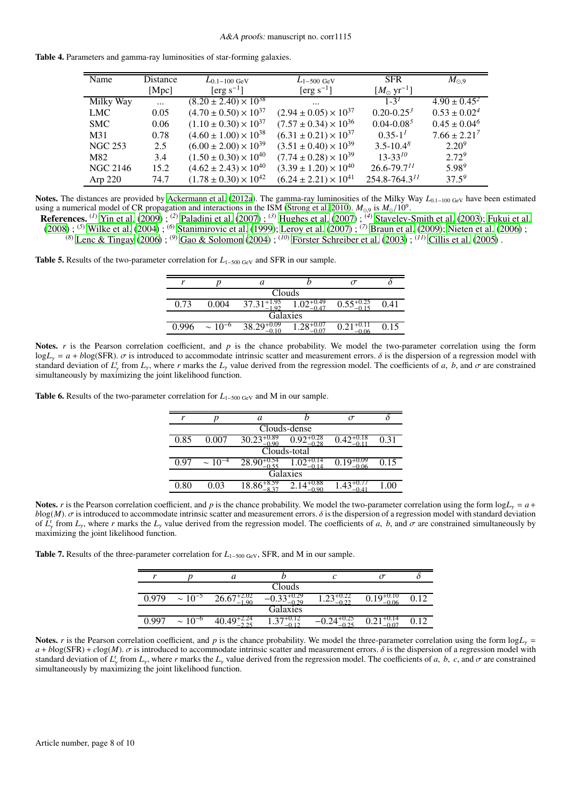|  | Table 4. Parameters and gamma-ray luminosities of star-forming galaxies. |  |  |  |
|--|--------------------------------------------------------------------------|--|--|--|
|  |                                                                          |  |  |  |

<span id="page-7-0"></span>

| Name            | Distance | $L_{0.1-100 \text{ GeV}}$                   | $L_{1-500~\mathrm{GeV}}$         | <b>SFR</b>                    | $M_{\odot,9}$           |
|-----------------|----------|---------------------------------------------|----------------------------------|-------------------------------|-------------------------|
|                 | [Mpc]    | $[erg s^{-1}]$                              | [erg $s^{-1}$ ]                  | $[M_{\odot} \text{ yr}^{-1}]$ |                         |
| Milky Way       | $\cdots$ | $(8.20 \pm 2.40) \times \overline{10^{38}}$ | $\cdots$                         | $1 - 3^1$                     | $4.90 \pm 0.45^2$       |
| <b>LMC</b>      | 0.05     | $(4.70 \pm 0.50) \times 10^{37}$            | $(2.94 \pm 0.05) \times 10^{37}$ | $0.20 - 0.25^3$               | $0.53 \pm 0.02^4$       |
| <b>SMC</b>      | 0.06     | $(1.10 \pm 0.30) \times 10^{37}$            | $(7.57 \pm 0.34) \times 10^{36}$ | $0.04 - 0.08^5$               | $0.45 \pm 0.04^6$       |
| M31             | 0.78     | $(4.60 \pm 1.00) \times 10^{38}$            | $(6.31 \pm 0.21) \times 10^{37}$ | $0.35 - 11$                   | $7.66 \pm 2.21^{\circ}$ |
| <b>NGC 253</b>  | 2.5      | $(6.00 \pm 2.00) \times 10^{39}$            | $(3.51 \pm 0.40) \times 10^{39}$ | $3.5 - 10.4^8$                | $2.20^{9}$              |
| M82             | 3.4      | $(1.50 \pm 0.30) \times 10^{40}$            | $(7.74 \pm 0.28) \times 10^{39}$ | $13 - 33^{10}$                | $2.72^{9}$              |
| <b>NGC 2146</b> | 15.2     | $(4.62 \pm 2.43) \times 10^{40}$            | $(3.39 \pm 1.20) \times 10^{40}$ | $26.6 - 79.7$ <sup>11</sup>   | $5.98^{9}$              |
| Arp $220$       | 74.7     | $(1.78 \pm 0.30) \times 10^{42}$            | $(6.24 \pm 2.21) \times 10^{41}$ | $254.8 - 764.3$ <sup>11</sup> | $37.5^{9}$              |
|                 |          |                                             |                                  |                               |                         |

Notes. The distances are provided by [Ackermann et al. \(2012a](#page-4-2)). The gamma-ray luminosities of the Milky Way *L*0.1−100 GeV have been estimated using a numerical model of CR propagation and interactions in the ISM [\(Strong et al. 2010\)](#page-4-51).  $M_{\odot,9}$  is  $M_{\odot}/10^9$ .

References. (*1*) [Yin et al.](#page-5-9) [\(2009\)](#page-5-9) ; (*2*) [Paladini et al.](#page-4-52) [\(2007\)](#page-4-52) ; (*3*) [Hughes et al. \(2007\)](#page-4-53) ; (*4*) [Staveley-Smith et al.](#page-5-10) [\(2003\)](#page-5-10); [Fukui et al.](#page-4-54) [\(2008](#page-4-54)) ; (*5*) [Wilke et al. \(2004\)](#page-5-11) ; (*6*) [Stanimirovic et al. \(1999](#page-4-55)); [Leroy et al. \(2007\)](#page-4-56) ; (*7*) [Braun et al. \(2009\)](#page-4-57); [Nieten et al.](#page-4-58) [\(2006\)](#page-4-58) ; (*8*) [Lenc & Tingay \(2006\)](#page-4-59) ; (*9*) [Gao & Solomon \(2004\)](#page-4-23) ; (*10*) [Förster Schreiber et al. \(2003](#page-4-60)) ; (*11*) [Cillis et al. \(2005\)](#page-4-61) .

<span id="page-7-1"></span>**Table 5.** Results of the two-parameter correlation for  $L_{1-500 \text{ GeV}}$  and SFR in our sample.

| $\mathbf{r}$ |                | а                |                        |  |      |  |  |  |  |  |
|--------------|----------------|------------------|------------------------|--|------|--|--|--|--|--|
| Clouds       |                |                  |                        |  |      |  |  |  |  |  |
| 0.73         | 0.004          | $+1.9.$<br>37.31 | $\Lambda$ <sup>-</sup> |  |      |  |  |  |  |  |
| Galaxies     |                |                  |                        |  |      |  |  |  |  |  |
| በ 996        | $\sim 10^{-6}$ | 38.29            |                        |  | 0.15 |  |  |  |  |  |
|              |                |                  |                        |  |      |  |  |  |  |  |

Notes.  $r$  is the Pearson correlation coefficient, and  $p$  is the chance probability. We model the two-parameter correlation using the form  $logL<sub>y</sub> = a + blog(SFR)$ .  $\sigma$  is introduced to accommodate intrinsic scatter and measurement errors.  $\delta$  is the dispersion of a regression model with standard deviation of  $L_y^r$  from  $L_y$ , where *r* marks the  $L_y$  value derived from the regression model. The coefficients of *a*, *b*, and  $\sigma$  are constrained simultaneously by maximizing the joint likelihood function.

<span id="page-7-2"></span>Table 6. Results of the two-parameter correlation for *L*<sub>1−500 GeV</sub> and M in our sample.

| r    |                | a                       |                        | $\sigma$ |      |  |  |  |  |  |  |
|------|----------------|-------------------------|------------------------|----------|------|--|--|--|--|--|--|
|      | Clouds-dense   |                         |                        |          |      |  |  |  |  |  |  |
| 0.85 | 0.007          | $30.23^{+0.89}_{-0.00}$ | $0.92^{+0.28}$         |          | 0.31 |  |  |  |  |  |  |
|      | Clouds-total   |                         |                        |          |      |  |  |  |  |  |  |
| 0.97 | $\sim 10^{-4}$ | $28.90^{+0.54}_{-0.55}$ |                        | ብ በ6     | 0.15 |  |  |  |  |  |  |
|      | Galaxies       |                         |                        |          |      |  |  |  |  |  |  |
| 0.80 | 0.03           | $18.86^{+8.59}_{-8.27}$ | $2.14^{+0.88}_{-0.88}$ |          | 0.0  |  |  |  |  |  |  |
|      |                |                         |                        |          |      |  |  |  |  |  |  |

Notes. *r* is the Pearson correlation coefficient, and *p* is the chance probability. We model the two-parameter correlation using the form  $\log L_y = a +$  $b\log(M)$ .  $\sigma$  is introduced to accommodate intrinsic scatter and measurement errors.  $\delta$  is the dispersion of a regression model with standard deviation of  $\overline{L}_{\gamma}^{r}$  from  $L_{\gamma}$ , where *r* marks the  $L_{\gamma}$  value derived from the regression model. The coefficients of *a*, *b*, and  $\sigma$  are constrained simultaneously by maximizing the joint likelihood function.

<span id="page-7-3"></span>Table 7. Results of the three-parameter correlation for *L*<sub>1−500 GeV</sub>, SFR, and M in our sample.

|       |                | a                         |          |         |              |  |
|-------|----------------|---------------------------|----------|---------|--------------|--|
|       |                |                           | Clouds   |         |              |  |
| 0.979 | $\sim 10^{-5}$ | $26.67+2.02$<br>.<br>1.90 | ብ 29     | ن کے با | 0.10<br>0.06 |  |
|       |                |                           | Galaxies |         |              |  |
| n aa7 | $\sim 10^{-6}$ |                           | ر. 1     | ∩ົາເ    |              |  |

Notes. *r* is the Pearson correlation coefficient, and *p* is the chance probability. We model the three-parameter correlation using the form log*L*<sub>γ</sub> =  $a + b\log(SFR) + c\log(M)$ .  $\sigma$  is introduced to accommodate intrinsic scatter and measurement errors.  $\delta$  is the dispersion of a regression model with standard deviation of  $L_y^r$  from  $L_y$ , where *r* marks the  $L_y$  value derived from the regression model. The coefficients of *a*, *b*, *c*, and  $\sigma$  are constrained simultaneously by maximizing the joint likelihood function.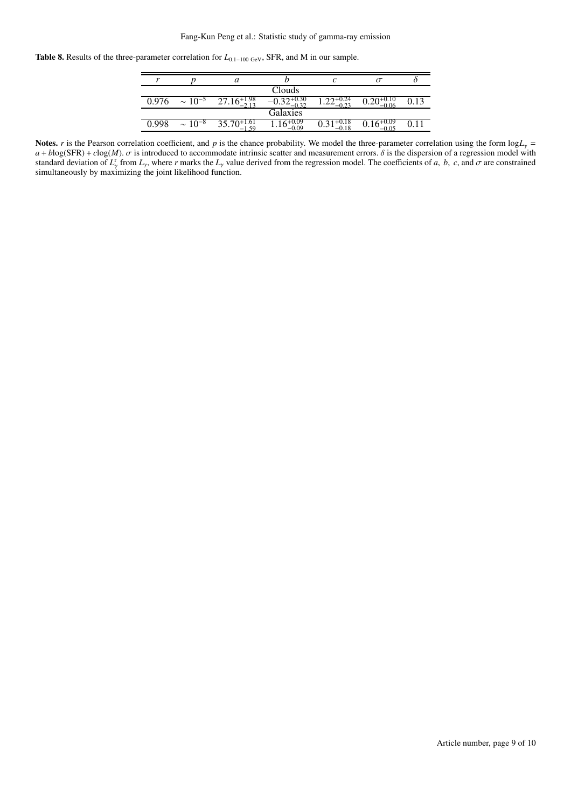#### Fang-Kun Peng et al.: Statistic study of gamma-ray emission

<span id="page-8-0"></span>Table 8. Results of the three-parameter correlation for *L*<sub>0.1−100 GeV</sub>, SFR, and M in our sample.

| r     |                | a                                      |                         |  |  |
|-------|----------------|----------------------------------------|-------------------------|--|--|
|       |                |                                        | Clouds                  |  |  |
| 0.976 | $\sim 10^{-5}$ | $27.16\substack{+1.98 \\ 2.12}$<br>213 |                         |  |  |
|       |                |                                        | Galaxies                |  |  |
| 0.998 | $\sim 10^{-8}$ | $35.70^{+1.61}_{-1.50}$                | $1.16^{+0.09}$<br>-0.09 |  |  |
|       |                |                                        |                         |  |  |

Notes. *r* is the Pearson correlation coefficient, and *p* is the chance probability. We model the three-parameter correlation using the form  $\log L_y$  =  $a + b\log(SFR) + c\log(M)$ .  $\sigma$  is introduced to accommodate intrinsic scatter and measurement errors.  $\delta$  is the dispersion of a regression model with standard deviation of  $L_y^r$  from  $L_y$ , where *r* marks the  $L_y$  value derived from the regression model. The coefficients of *a*, *b*, *c*, and  $\sigma$  are constrained simultaneously by maximizing the joint likelihood function.